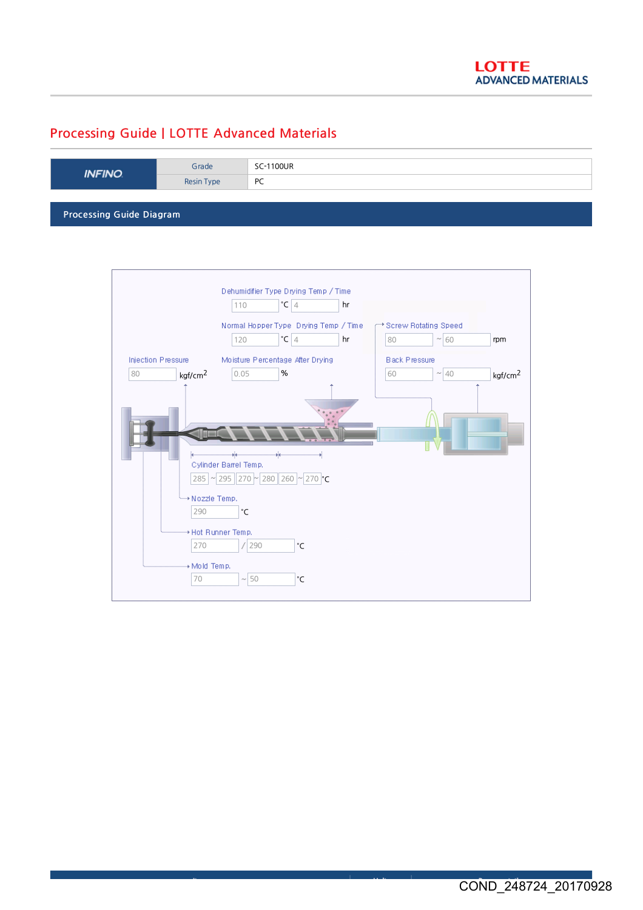## Processing Guide | LOTTE Advanced Materials

| <b>INFINO</b>            | Grade      | SC-1100UR |  |  |
|--------------------------|------------|-----------|--|--|
|                          | Resin Type | PC        |  |  |
|                          |            |           |  |  |
| Processing Guide Diagram |            |           |  |  |

Dehumidifier Type Drying Temp / Time  $\boxed{110}$  °C  $\boxed{4}$  $\overline{\phantom{a}}$  hr Normal Hopper Type Drying Temp / Time Screw Rotating Speed  $120$   $\degree$ C 4  ${}^{\circ}$ C | 4 | hr | | | 80 | ~ | 60 | rpm Injection Pressure Moisture Percentage After Drying Black Pressure 80 0.05 %  $60 - 40$ **kgf/cm<sup>2</sup>** 0.05 **%** 160  $\sqrt{40}$  kgf/cm<sup>2</sup> Cylinder Barrel Temp. 285 | ~ 295 || 270 |~ | 280 || 260 |~ | 270 |°C \* Nozzle Temp. 290 **C** + Hot Runner Temp.  $\boxed{270}$  / $\boxed{290}$ °C + Mold Temp.  $\boxed{70}$   $\boxed{70}$   $\boxed{50}$ °C